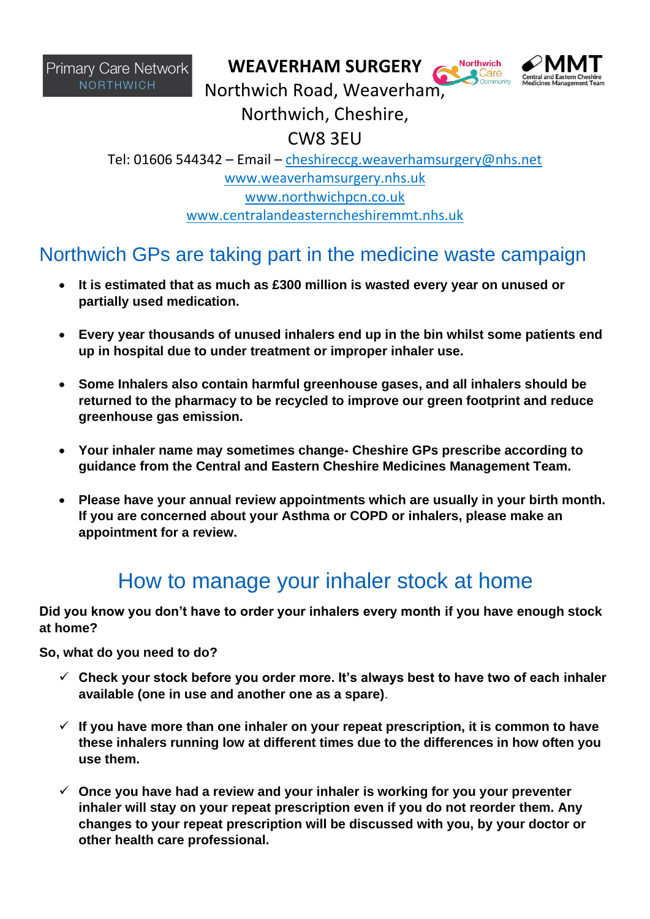**WEAVERHAM SURGERY**



**Northwich** 

Northwich Road, Weaverham,

Northwich, Cheshire,

CW8 3EU

Tel: 01606 544342 – Email – [cheshireccg.weaverhamsurgery@nhs.net](mailto:cheshireccg.weaverhamsurgery@nhs.net) [www.weaverhamsurgery.nhs.uk](http://www.weaverhamsurgery.nhs.uk/) [www.northwichpcn.co.uk](http://www.northwichpcn.co.uk/) [www.centralandeasterncheshiremmt.nhs.uk](http://www.centralandeasterncheshiremmt.nhs.uk/)

## Northwich GPs are taking part in the medicine waste campaign

- **It is estimated that as much as £300 million is wasted every year on unused or partially used medication.**
- **Every year thousands of unused inhalers end up in the bin whilst some patients end up in hospital due to under treatment or improper inhaler use.**
- **Some Inhalers also contain harmful greenhouse gases, and all inhalers should be returned to the pharmacy to be recycled to improve our green footprint and reduce greenhouse gas emission.**
- **Your inhaler name may sometimes change- Cheshire GPs prescribe according to guidance from the Central and Eastern Cheshire Medicines Management Team.**
- **Please have your annual review appointments which are usually in your birth month. If you are concerned about your Asthma or COPD or inhalers, please make an appointment for a review.**

## How to manage your inhaler stock at home

**Did you know you don't have to order your inhalers every month if you have enough stock at home?**

**So, what do you need to do?**

- ✓ **Check your stock before you order more. It's always best to have two of each inhaler available (one in use and another one as a spare)**.
- ✓ **If you have more than one inhaler on your repeat prescription, it is common to have these inhalers running low at different times due to the differences in how often you use them.**
- ✓ **Once you have had a review and your inhaler is working for you your preventer inhaler will stay on your repeat prescription even if you do not reorder them. Any changes to your repeat prescription will be discussed with you, by your doctor or other health care professional.**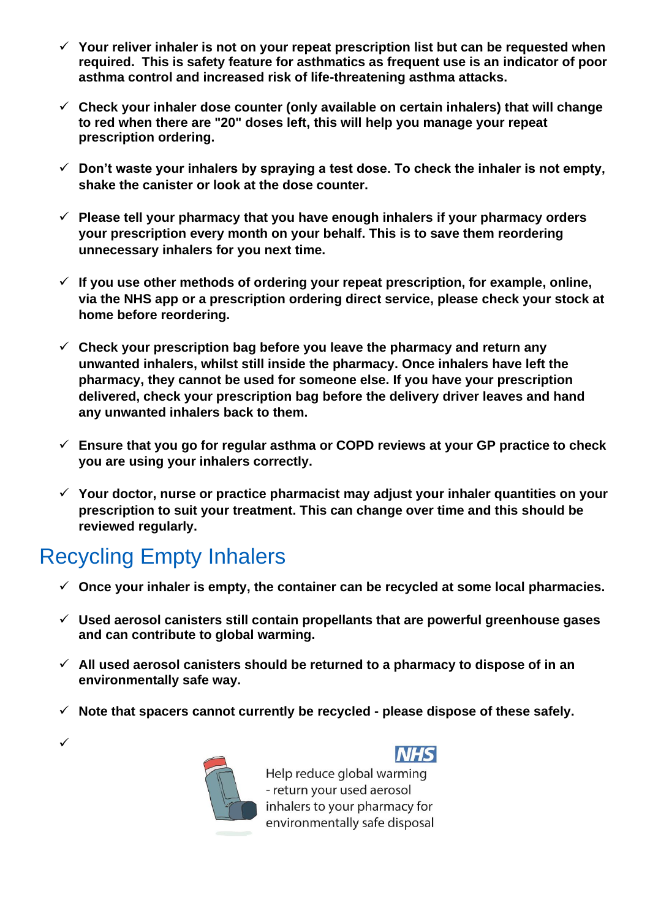- ✓ **Your reliver inhaler is not on your repeat prescription list but can be requested when required. This is safety feature for asthmatics as frequent use is an indicator of poor asthma control and increased risk of life-threatening asthma attacks.**
- ✓ **Check your inhaler dose counter (only available on certain inhalers) that will change to red when there are "20" doses left, this will help you manage your repeat prescription ordering.**
- ✓ **Don't waste your inhalers by spraying a test dose. To check the inhaler is not empty, shake the canister or look at the dose counter.**
- ✓ **Please tell your pharmacy that you have enough inhalers if your pharmacy orders your prescription every month on your behalf. This is to save them reordering unnecessary inhalers for you next time.**
- ✓ **If you use other methods of ordering your repeat prescription, for example, online, via the NHS app or a prescription ordering direct service, please check your stock at home before reordering.**
- ✓ **Check your prescription bag before you leave the pharmacy and return any unwanted inhalers, whilst still inside the pharmacy. Once inhalers have left the pharmacy, they cannot be used for someone else. If you have your prescription delivered, check your prescription bag before the delivery driver leaves and hand any unwanted inhalers back to them.**
- ✓ **Ensure that you go for regular asthma or COPD reviews at your GP practice to check you are using your inhalers correctly.**
- ✓ **Your doctor, nurse or practice pharmacist may adjust your inhaler quantities on your prescription to suit your treatment. This can change over time and this should be reviewed regularly.**

## Recycling Empty Inhalers

✓

- ✓ **Once your inhaler is empty, the container can be recycled at some local pharmacies.**
- ✓ **Used aerosol canisters still contain propellants that are powerful greenhouse gases and can contribute to global warming.**
- ✓ **All used aerosol canisters should be returned to a pharmacy to dispose of in an environmentally safe way.**
- ✓ **Note that spacers cannot currently be recycled - please dispose of these safely.**



Help reduce global warming - return your used aerosol inhalers to your pharmacy for environmentally safe disposal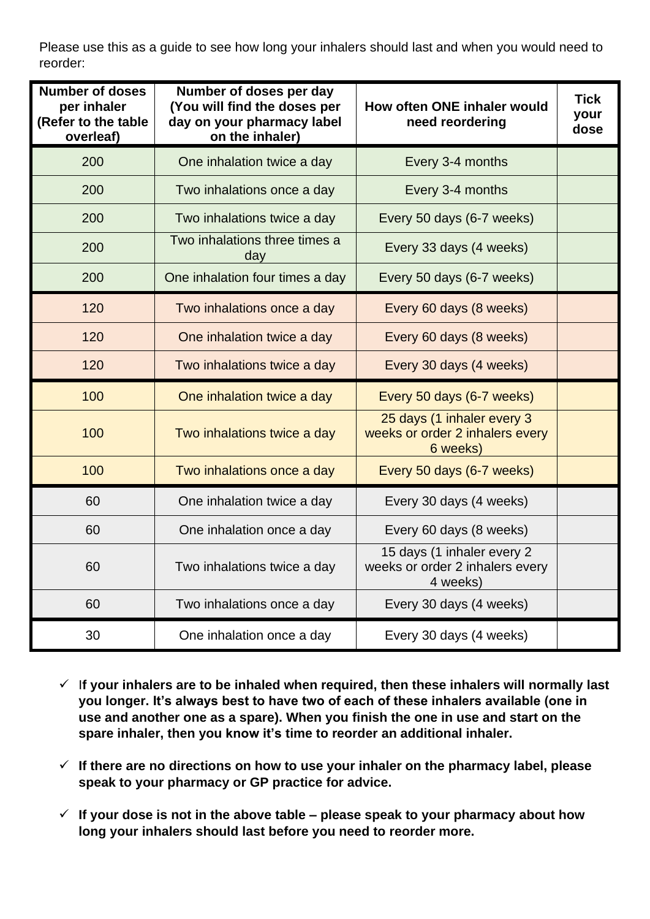Please use this as a guide to see how long your inhalers should last and when you would need to reorder:

| <b>Number of doses</b><br>per inhaler<br>(Refer to the table<br>overleaf) | Number of doses per day<br>(You will find the doses per<br>day on your pharmacy label<br>on the inhaler) | How often ONE inhaler would<br>need reordering                            | <b>Tick</b><br>your<br>dose |
|---------------------------------------------------------------------------|----------------------------------------------------------------------------------------------------------|---------------------------------------------------------------------------|-----------------------------|
| 200                                                                       | One inhalation twice a day                                                                               | Every 3-4 months                                                          |                             |
| 200                                                                       | Two inhalations once a day                                                                               | Every 3-4 months                                                          |                             |
| 200                                                                       | Two inhalations twice a day                                                                              | Every 50 days (6-7 weeks)                                                 |                             |
| 200                                                                       | Two inhalations three times a<br>day                                                                     | Every 33 days (4 weeks)                                                   |                             |
| 200                                                                       | One inhalation four times a day                                                                          | Every 50 days (6-7 weeks)                                                 |                             |
| 120                                                                       | Two inhalations once a day                                                                               | Every 60 days (8 weeks)                                                   |                             |
| 120                                                                       | One inhalation twice a day                                                                               | Every 60 days (8 weeks)                                                   |                             |
| 120                                                                       | Two inhalations twice a day                                                                              | Every 30 days (4 weeks)                                                   |                             |
| 100                                                                       | One inhalation twice a day                                                                               | Every 50 days (6-7 weeks)                                                 |                             |
| 100                                                                       | Two inhalations twice a day                                                                              | 25 days (1 inhaler every 3<br>weeks or order 2 inhalers every<br>6 weeks) |                             |
| 100                                                                       | Two inhalations once a day                                                                               | Every 50 days (6-7 weeks)                                                 |                             |
| 60                                                                        | One inhalation twice a day                                                                               | Every 30 days (4 weeks)                                                   |                             |
| 60                                                                        | One inhalation once a day                                                                                | Every 60 days (8 weeks)                                                   |                             |
| 60                                                                        | Two inhalations twice a day                                                                              | 15 days (1 inhaler every 2<br>weeks or order 2 inhalers every<br>4 weeks) |                             |
| 60                                                                        | Two inhalations once a day                                                                               | Every 30 days (4 weeks)                                                   |                             |
| 30                                                                        | One inhalation once a day                                                                                | Every 30 days (4 weeks)                                                   |                             |

- ✓ I**f your inhalers are to be inhaled when required, then these inhalers will normally last you longer. It's always best to have two of each of these inhalers available (one in use and another one as a spare). When you finish the one in use and start on the spare inhaler, then you know it's time to reorder an additional inhaler.**
- ✓ **If there are no directions on how to use your inhaler on the pharmacy label, please speak to your pharmacy or GP practice for advice.**
- ✓ **If your dose is not in the above table – please speak to your pharmacy about how long your inhalers should last before you need to reorder more.**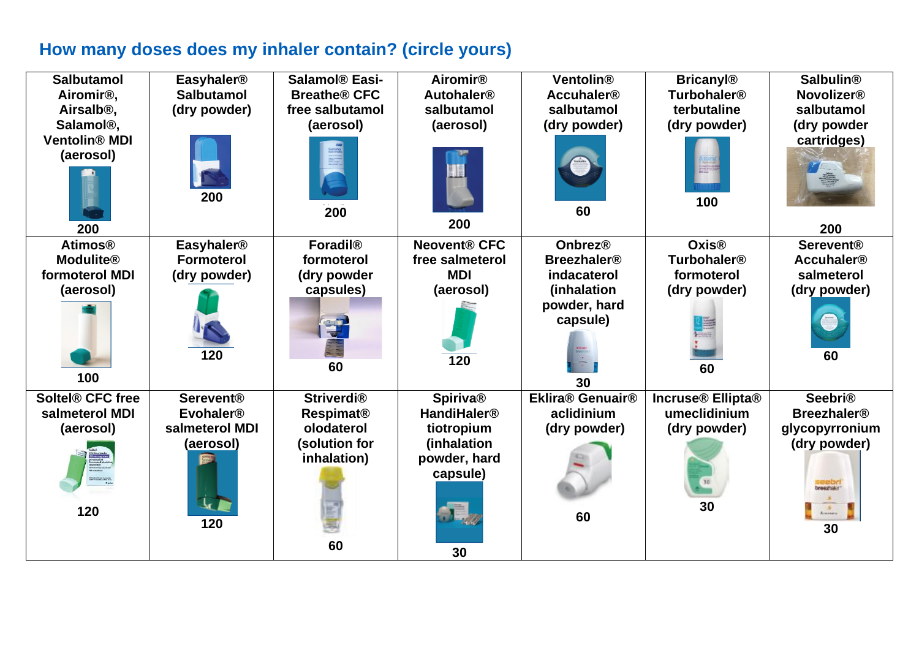## **How many doses does my inhaler contain? (circle yours)**

| <b>Salbutamol</b><br>Airomir <sup>®</sup> ,<br>Airsalb <sup>®</sup> ,<br>Salamol <sup>®</sup> ,<br><b>Ventolin® MDI</b><br>(aerosol) | <b>Easyhaler<sup>®</sup></b><br><b>Salbutamol</b><br>(dry powder)<br>200 | Salamol <sup>®</sup> Easi-<br><b>Breathe® CFC</b><br>free salbutamol<br>(aerosol)<br>200 | <b>Airomir®</b><br><b>Autohaler<sup>®</sup></b><br>salbutamol<br>(aerosol)<br>200 | <b>Ventolin®</b><br><b>Accuhaler<sup>®</sup></b><br>salbutamol<br>(dry powder)<br>60 | <b>Bricanyl®</b><br><b>Turbohaler<sup>®</sup></b><br>terbutaline<br>(dry powder)<br>100 | <b>Salbulin®</b><br><b>Novolizer®</b><br>salbutamol<br>(dry powder<br>cartridges)<br>I |
|--------------------------------------------------------------------------------------------------------------------------------------|--------------------------------------------------------------------------|------------------------------------------------------------------------------------------|-----------------------------------------------------------------------------------|--------------------------------------------------------------------------------------|-----------------------------------------------------------------------------------------|----------------------------------------------------------------------------------------|
| 200<br><b>Atimos®</b>                                                                                                                | <b>Easyhaler<sup>®</sup></b>                                             | <b>Foradil®</b>                                                                          | <b>Neovent® CFC</b>                                                               | <b>Onbrez®</b>                                                                       | <b>Oxis®</b>                                                                            | 200<br><b>Serevent®</b>                                                                |
| <b>Modulite®</b>                                                                                                                     | <b>Formoterol</b>                                                        | formoterol                                                                               | free salmeterol                                                                   | <b>Breezhaler<sup>®</sup></b>                                                        | <b>Turbohaler<sup>®</sup></b>                                                           | <b>Accuhaler<sup>®</sup></b>                                                           |
| formoterol MDI                                                                                                                       | (dry powder)                                                             | (dry powder                                                                              | <b>MDI</b>                                                                        | indacaterol                                                                          | formoterol                                                                              | salmeterol                                                                             |
| (aerosol)<br>100                                                                                                                     | 120                                                                      | capsules)<br>60                                                                          | (aerosol)<br>120                                                                  | (inhalation<br>powder, hard<br>capsule)<br>30                                        | (dry powder)<br>60                                                                      | (dry powder)<br>60                                                                     |
| <b>Soltel® CFC free</b><br>salmeterol MDI                                                                                            | <b>Serevent®</b><br><b>Evohaler®</b>                                     | <b>Striverdi®</b><br><b>Respimat<sup>®</sup></b>                                         | <b>Spiriva®</b><br><b>HandiHaler<sup>®</sup></b>                                  | Eklira® Genuair®<br>aclidinium                                                       | Incruse® Ellipta®<br>umeclidinium                                                       | <b>Seebri®</b><br><b>Breezhaler<sup>®</sup></b>                                        |
| (aerosol)                                                                                                                            | salmeterol MDI                                                           | olodaterol                                                                               | tiotropium                                                                        | (dry powder)                                                                         | (dry powder)                                                                            | glycopyrronium                                                                         |
| 120                                                                                                                                  | (aerosol)<br>120                                                         | (solution for<br>inhalation)<br>60                                                       | (inhalation<br>powder, hard<br>capsule)<br>. I.,<br>30                            | 60                                                                                   | 30                                                                                      | (dry powder)<br><b>Insectrator</b><br>$rac{5}{5}$<br>30                                |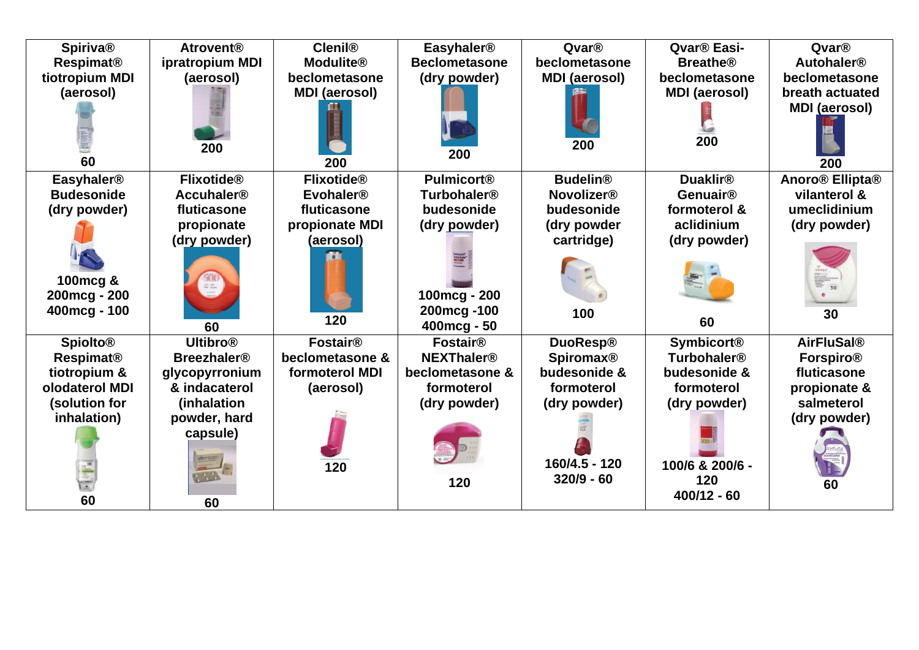| <b>Spiriva®</b><br><b>Respimat®</b><br>tiotropium MDI<br>(aerosol)                                            | <b>Atrovent®</b><br>ipratropium MDI<br>(aerosol)                                                                                     | <b>Clenil®</b><br><b>Modulite®</b><br>beclometasone<br><b>MDI</b> (aerosol)                           | <b>Easyhaler<sup>®</sup></b><br><b>Beclometasone</b><br>(dry powder)                                                                    | Qvar®<br>beclometasone<br><b>MDI</b> (aerosol)                                                                     | Qvar <sup>®</sup> Easi-<br><b>Breathe®</b><br>beclometasone<br><b>MDI</b> (aerosol)                                                         | Qvar®<br><b>Autohaler<sup>®</sup></b><br>beclometasone<br>breath actuated<br><b>MDI</b> (aerosol)        |
|---------------------------------------------------------------------------------------------------------------|--------------------------------------------------------------------------------------------------------------------------------------|-------------------------------------------------------------------------------------------------------|-----------------------------------------------------------------------------------------------------------------------------------------|--------------------------------------------------------------------------------------------------------------------|---------------------------------------------------------------------------------------------------------------------------------------------|----------------------------------------------------------------------------------------------------------|
| 60                                                                                                            | 200                                                                                                                                  | 200                                                                                                   | 200                                                                                                                                     | 200                                                                                                                | 200                                                                                                                                         | 200                                                                                                      |
| <b>Easyhaler<sup>®</sup></b><br><b>Budesonide</b><br>(dry powder)<br>100mcg &<br>200mcg - 200<br>400mcg - 100 | <b>Flixotide®</b><br><b>Accuhaler<sup>®</sup></b><br>fluticasone<br>propionate<br>(dry powder)<br>$\frac{127}{128}$ and<br>60        | <b>Flixotide®</b><br><b>Evohaler<sup>®</sup></b><br>fluticasone<br>propionate MDI<br>(aerosol)<br>120 | <b>Pulmicort®</b><br><b>Turbohaler<sup>®</sup></b><br>budesonide<br>(dry powder)<br>100mcg - 200<br>200mcg-100<br>$400 \text{mcg} - 50$ | <b>Budelin®</b><br><b>Novolizer®</b><br>budesonide<br>(dry powder<br>cartridge)<br>100                             | <b>Duaklir®</b><br>Genuair®<br>formoterol &<br>aclidinium<br>(dry powder)<br>60                                                             | Anoro <sup>®</sup> Ellipta <sup>®</sup><br>vilanterol &<br>umeclidinium<br>(dry powder)<br>30            |
| <b>Spiolto®</b><br><b>Respimat®</b><br>tiotropium &<br>olodaterol MDI<br>(solution for<br>inhalation)<br>60   | <b>Ultibro®</b><br><b>Breezhaler<sup>®</sup></b><br>glycopyrronium<br>& indacaterol<br>(inhalation<br>powder, hard<br>capsule)<br>60 | <b>Fostair®</b><br>beclometasone &<br>formoterol MDI<br>(aerosol)<br>120                              | <b>Fostair®</b><br><b>NEXThaler<sup>®</sup></b><br>beclometasone &<br>formoterol<br>(dry powder)<br>120                                 | <b>DuoResp®</b><br><b>Spiromax®</b><br>budesonide &<br>formoterol<br>(dry powder)<br>160/4.5 - 120<br>$320/9 - 60$ | <b>Symbicort®</b><br><b>Turbohaler<sup>®</sup></b><br>budesonide &<br>formoterol<br>(dry powder)<br>100/6 & 200/6 -<br>120<br>$400/12 - 60$ | <b>AirFluSal®</b><br><b>Forspiro®</b><br>fluticasone<br>propionate &<br>salmeterol<br>(dry powder)<br>60 |